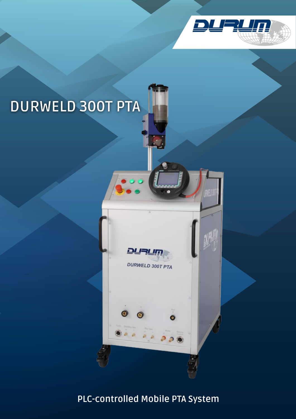

# **DURWELD 300T PTA**



DURWELD 300T PTA

Ō

**PLC-controlled Mobile PTA System**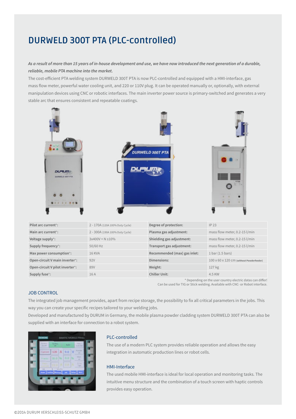## **DURWELD 300T PTA (PLC-controlled)**

#### *As a result of more than 15 years of in-house development and use, we have now introduced the next generation of a durable, reliable, mobile PTA machine into the market.*

The cost-efficient PTA welding system DURWELD 300T PTA is now PLC-controlled and equipped with a HMI-interface, gas mass flow meter, powerful water cooling unit, and 220 or 110V plug. It can be operated manually or, optionally, with external manipulation devices using CNC or robotic interfaces. The main inverter power source is primary-switched and generates a very stable arc that ensures consistent and repeatable coatings.



\* Depending on the user country electric datas can differ!

Can be used for TIG or Stick welding. Available with CNC- or Robot interface.

#### JOB CONTROL

The integrated job management provides, apart from recipe storage, the possibility to fix all critical parameters in the jobs. This way you can create your specific recipes tailored to your welding jobs.

Developed and manufactured by DURUM in Germany, the mobile plasma powder cladding system DURWELD 300T PTA can also be supplied with an interface for connection to a robot system.



#### PLC-controlled

The use of a modern PLC system provides reliable operation and allows the easy integration in automatic production lines or robot cells.

#### HMI-Interface

The used mobile HMI-interface is ideal for local operation and monitoring tasks. The intuitive menu structure and the combination of a touch screen with haptic controls provides easy operation.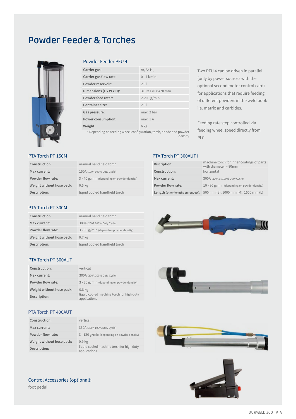## **Powder Feeder & Torches**



#### Powder Feeder PFU 4:

| Carrier gas:                         | Ar, $Ar-H$         |
|--------------------------------------|--------------------|
| Carrier gas flow rate:               | $0 - 4$ l/min      |
| Powder reservoir:                    | 2.31               |
| Dimensions $(L \times W \times H)$ : | 310 x 170 x 470 mm |
| Powder feed rate*:                   | $2-200$ g/min      |
| Container size:                      | 2.31               |
| Gas pressure:                        | max. 2 bar         |
| Power consumption:                   | max. 1A            |
| Weight:                              | 6 kg               |

\* Depending on feeding wheel configuration, torch, anode and powder density

Two PFU 4 can be driven in parallel (only by power sources with the optional second motor control card) for applications that require feeding of different powders in the weld pool: i.e. matrix and carbides.

Feeding rate step controlled via feeding wheel speed directly from PLC

#### PTA Torch PT 150M

| Construction:             | manual hand held torch                       |
|---------------------------|----------------------------------------------|
| Max current:              | 150A (100A 100% Duty Cycle)                  |
| Powder flow rate:         | $3 - 40$ g/min (depending on powder density) |
| Weight without hose pack: | $0.5 \text{ kg}$                             |
| Description:              | liquid cooled handheld torch                 |
|                           |                                              |

### PTA Torch PT 300AUT i

| Discription:      | machine torch for inner coatings of parts<br>with diameter > 80mm       |
|-------------------|-------------------------------------------------------------------------|
| Construction:     | horizontal                                                              |
| Max current:      | 300A (200A at 100% Duty Cycle)                                          |
| Powder flow rate: | 10 - 80 $g/min$ (depending on powder density)                           |
|                   | Length (other lengths on request): 500 mm (S), 1000 mm (M), 1500 mm (L) |

#### PTA Torch PT 300M

| Construction:             | manual hand held torch                    |
|---------------------------|-------------------------------------------|
| Max current:              | 300A (200A 100% Duty Cycle)               |
| Powder flow rate:         | $3 - 80$ g/min (depend on powder density) |
| Weight without hose pack: | 0.7 <sub>kg</sub>                         |
| Description:              | liquid cooled handheld torch              |

#### PTA Torch PT 300AUT

| Construction:             | vertical                                                  |
|---------------------------|-----------------------------------------------------------|
| Max current:              | 300A (200A 100% Duty Cycle)                               |
| Powder flow rate:         | $3 - 80$ g/min (depending on powder density)              |
| Weight without hose pack: | 0.8 <sub>kg</sub>                                         |
| Description:              | liquid cooled machine torch for high duty<br>applications |

#### PTA Torch PT 400AUT

| Construction:             | vertical                                                  |
|---------------------------|-----------------------------------------------------------|
| Max current:              | 350A (300A 100% Duty Cycle)                               |
| Powder flow rate:         | 3 - 120 g/min (depending on powder density)               |
| Weight without hose pack: | 0.9 <sub>kg</sub>                                         |
| Description:              | liquid cooled machine torch for high duty<br>applications |







Control Accessories (optional):

foot pedal